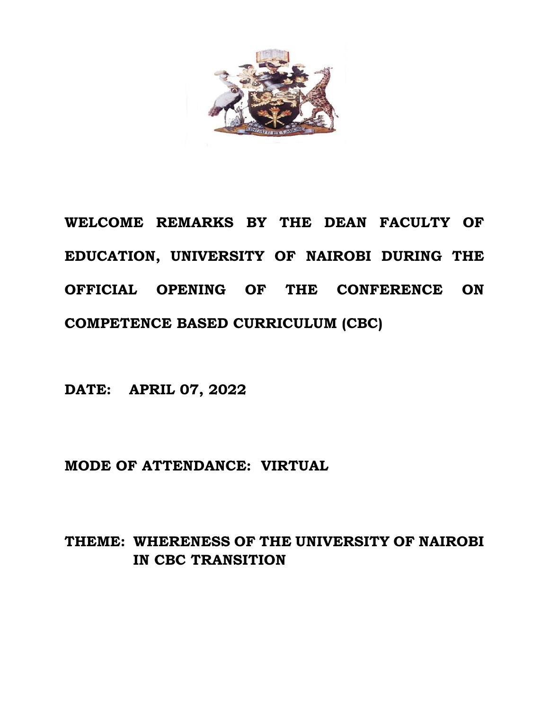

**WELCOME REMARKS BY THE DEAN FACULTY OF EDUCATION, UNIVERSITY OF NAIROBI DURING THE OFFICIAL OPENING OF THE CONFERENCE ON COMPETENCE BASED CURRICULUM (CBC)**

**DATE: APRIL 07, 2022**

**MODE OF ATTENDANCE: VIRTUAL**

## **THEME: WHERENESS OF THE UNIVERSITY OF NAIROBI IN CBC TRANSITION**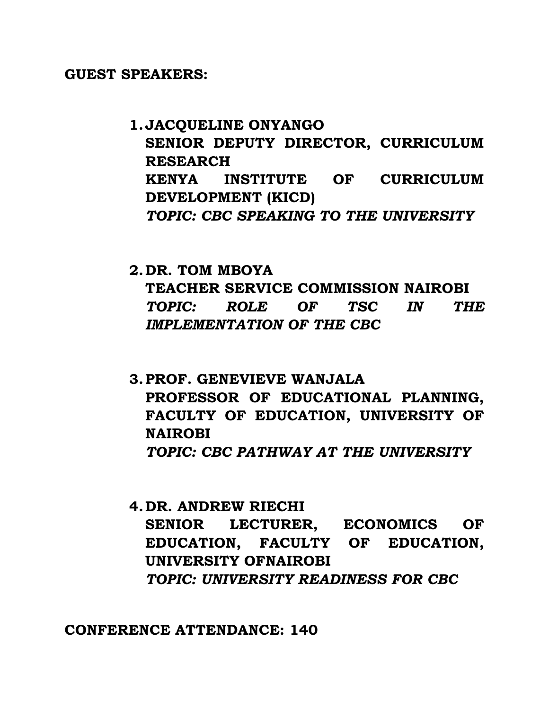## **GUEST SPEAKERS:**

**1.JACQUELINE ONYANGO SENIOR DEPUTY DIRECTOR, CURRICULUM RESEARCH KENYA INSTITUTE OF CURRICULUM DEVELOPMENT (KICD)** *TOPIC: CBC SPEAKING TO THE UNIVERSITY*

**2.DR. TOM MBOYA TEACHER SERVICE COMMISSION NAIROBI** *TOPIC: ROLE OF TSC IN THE IMPLEMENTATION OF THE CBC*

- **3.PROF. GENEVIEVE WANJALA PROFESSOR OF EDUCATIONAL PLANNING, FACULTY OF EDUCATION, UNIVERSITY OF NAIROBI** *TOPIC: CBC PATHWAY AT THE UNIVERSITY*
- **4.DR. ANDREW RIECHI SENIOR LECTURER, ECONOMICS OF EDUCATION, FACULTY OF EDUCATION, UNIVERSITY OFNAIROBI** *TOPIC: UNIVERSITY READINESS FOR CBC*

**CONFERENCE ATTENDANCE: 140**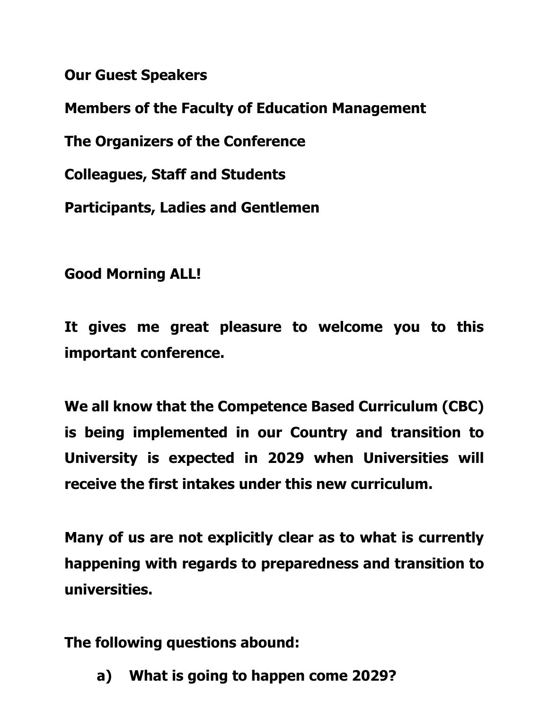**Our Guest Speakers**

**Members of the Faculty of Education Management**

**The Organizers of the Conference**

**Colleagues, Staff and Students**

**Participants, Ladies and Gentlemen**

**Good Morning ALL!**

**It gives me great pleasure to welcome you to this important conference.**

**We all know that the Competence Based Curriculum (CBC) is being implemented in our Country and transition to University is expected in 2029 when Universities will receive the first intakes under this new curriculum.**

**Many of us are not explicitly clear as to what is currently happening with regards to preparedness and transition to universities.**

**The following questions abound:**

**a) What is going to happen come 2029?**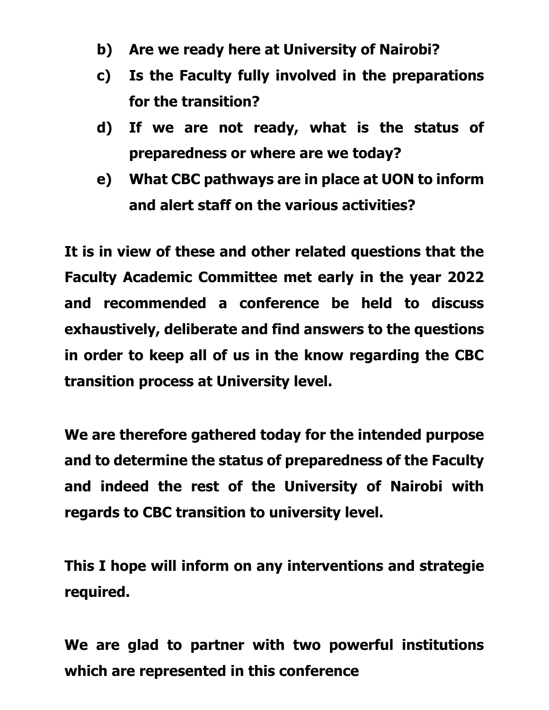- **b) Are we ready here at University of Nairobi?**
- **c) Is the Faculty fully involved in the preparations for the transition?**
- **d) If we are not ready, what is the status of preparedness or where are we today?**
- **e) What CBC pathways are in place at UON to inform and alert staff on the various activities?**

**It is in view of these and other related questions that the Faculty Academic Committee met early in the year 2022 and recommended a conference be held to discuss exhaustively, deliberate and find answers to the questions in order to keep all of us in the know regarding the CBC transition process at University level.**

**We are therefore gathered today for the intended purpose and to determine the status of preparedness of the Faculty and indeed the rest of the University of Nairobi with regards to CBC transition to university level.**

**This I hope will inform on any interventions and strategie required.**

**We are glad to partner with two powerful institutions which are represented in this conference**